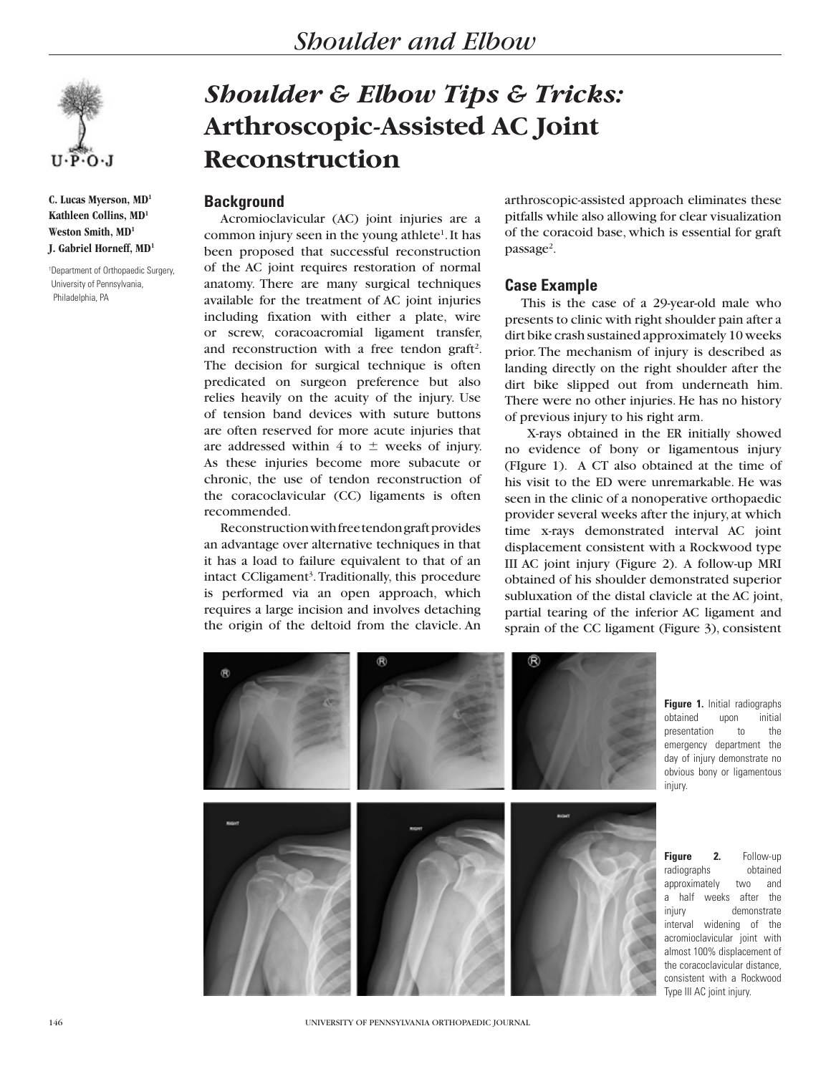

**C. Lucas Myerson, MD1 Kathleen Collins, MD1 Weston Smith, MD1 J. Gabriel Horneff, MD1**

1 Department of Orthopaedic Surgery, University of Pennsylvania, Philadelphia, PA

# *Shoulder & Elbow Tips & Tricks:* **Arthroscopic-Assisted AC Joint Reconstruction**

## **Background**

Acromioclavicular (AC) joint injuries are a common injury seen in the young athlete<sup>1</sup>. It has been proposed that successful reconstruction of the AC joint requires restoration of normal anatomy. There are many surgical techniques available for the treatment of AC joint injuries including fixation with either a plate, wire or screw, coracoacromial ligament transfer, and reconstruction with a free tendon graft<sup>2</sup>. The decision for surgical technique is often predicated on surgeon preference but also relies heavily on the acuity of the injury. Use of tension band devices with suture buttons are often reserved for more acute injuries that are addressed within 4 to  $\pm$  weeks of injury. As these injuries become more subacute or chronic, the use of tendon reconstruction of the coracoclavicular (CC) ligaments is often recommended.

Reconstruction with free tendon graft provides an advantage over alternative techniques in that it has a load to failure equivalent to that of an intact CCligament<sup>3</sup>. Traditionally, this procedure is performed via an open approach, which requires a large incision and involves detaching the origin of the deltoid from the clavicle. An

arthroscopic-assisted approach eliminates these pitfalls while also allowing for clear visualization of the coracoid base, which is essential for graft passage<sup>2</sup>.

## **Case Example**

This is the case of a 29-year-old male who presents to clinic with right shoulder pain after a dirt bike crash sustained approximately 10 weeks prior. The mechanism of injury is described as landing directly on the right shoulder after the dirt bike slipped out from underneath him. There were no other injuries. He has no history of previous injury to his right arm.

 X-rays obtained in the ER initially showed no evidence of bony or ligamentous injury (FIgure 1). A CT also obtained at the time of his visit to the ED were unremarkable. He was seen in the clinic of a nonoperative orthopaedic provider several weeks after the injury, at which time x-rays demonstrated interval AC joint displacement consistent with a Rockwood type III AC joint injury (Figure 2). A follow-up MRI obtained of his shoulder demonstrated superior subluxation of the distal clavicle at the AC joint, partial tearing of the inferior AC ligament and sprain of the CC ligament (Figure 3), consistent



**Figure 1.** Initial radiographs obtained upon initial presentation to the emergency department the day of injury demonstrate no obvious bony or ligamentous injury.

**Figure 2.** Follow-up radiographs obtained approximately two and a half weeks after the injury demonstrate interval widening of the acromioclavicular joint with almost 100% displacement of the coracoclavicular distance, consistent with a Rockwood Type III AC joint injury.

146 UNIVERSITY OF PENNSYLVANIA ORTHOPAEDIC JOURNAL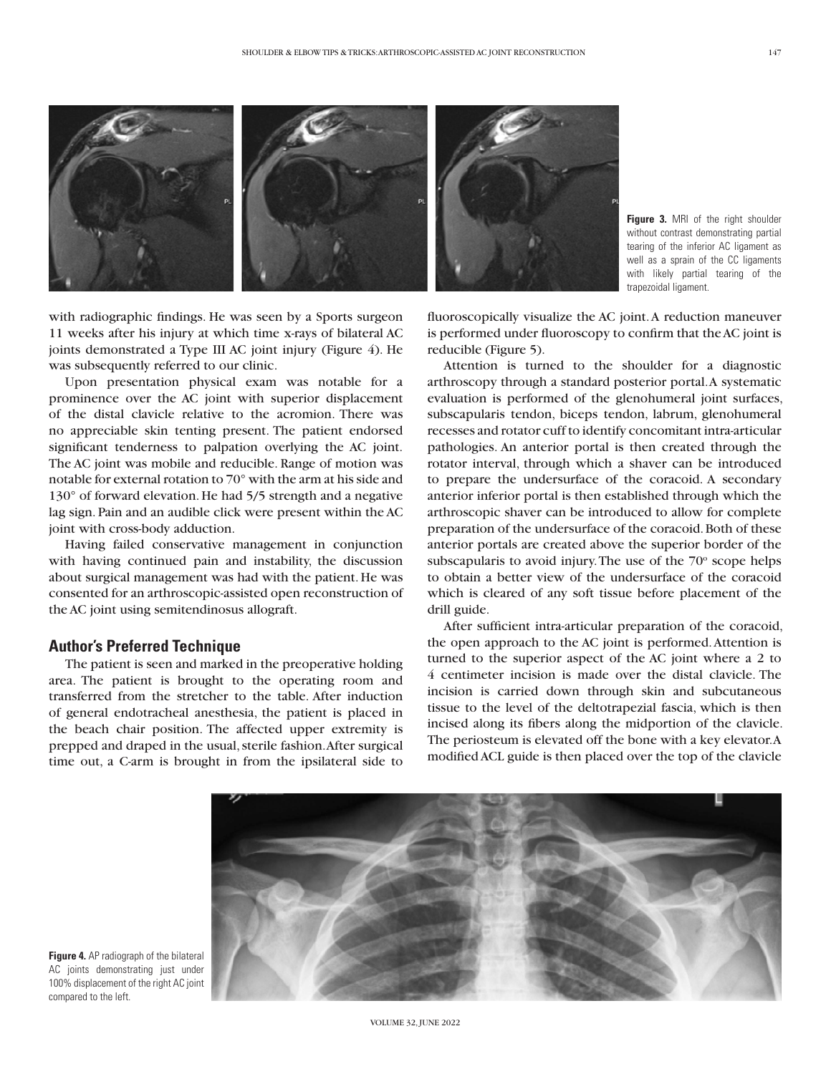

**Figure 3.** MRI of the right shoulder without contrast demonstrating partial tearing of the inferior AC ligament as well as a sprain of the CC ligaments with likely partial tearing of the trapezoidal ligament.

with radiographic findings. He was seen by a Sports surgeon 11 weeks after his injury at which time x-rays of bilateral AC joints demonstrated a Type III AC joint injury (Figure 4). He was subsequently referred to our clinic.

Upon presentation physical exam was notable for a prominence over the AC joint with superior displacement of the distal clavicle relative to the acromion. There was no appreciable skin tenting present. The patient endorsed significant tenderness to palpation overlying the AC joint. The AC joint was mobile and reducible. Range of motion was notable for external rotation to 70° with the arm at his side and 130° of forward elevation. He had 5/5 strength and a negative lag sign. Pain and an audible click were present within the AC joint with cross-body adduction.

Having failed conservative management in conjunction with having continued pain and instability, the discussion about surgical management was had with the patient. He was consented for an arthroscopic-assisted open reconstruction of the AC joint using semitendinosus allograft.

#### **Author's Preferred Technique**

The patient is seen and marked in the preoperative holding area. The patient is brought to the operating room and transferred from the stretcher to the table. After induction of general endotracheal anesthesia, the patient is placed in the beach chair position. The affected upper extremity is prepped and draped in the usual, sterile fashion. After surgical time out, a C-arm is brought in from the ipsilateral side to

fluoroscopically visualize the AC joint. A reduction maneuver is performed under fluoroscopy to confirm that the AC joint is reducible (Figure 5).

Attention is turned to the shoulder for a diagnostic arthroscopy through a standard posterior portal. A systematic evaluation is performed of the glenohumeral joint surfaces, subscapularis tendon, biceps tendon, labrum, glenohumeral recesses and rotator cuff to identify concomitant intra-articular pathologies. An anterior portal is then created through the rotator interval, through which a shaver can be introduced to prepare the undersurface of the coracoid. A secondary anterior inferior portal is then established through which the arthroscopic shaver can be introduced to allow for complete preparation of the undersurface of the coracoid. Both of these anterior portals are created above the superior border of the subscapularis to avoid injury. The use of the  $70^{\circ}$  scope helps to obtain a better view of the undersurface of the coracoid which is cleared of any soft tissue before placement of the drill guide.

After sufficient intra-articular preparation of the coracoid, the open approach to the AC joint is performed. Attention is turned to the superior aspect of the AC joint where a 2 to 4 centimeter incision is made over the distal clavicle. The incision is carried down through skin and subcutaneous tissue to the level of the deltotrapezial fascia, which is then incised along its fibers along the midportion of the clavicle. The periosteum is elevated off the bone with a key elevator. A modified ACL guide is then placed over the top of the clavicle



**Figure 4.** AP radiograph of the bilateral AC joints demonstrating just under 100% displacement of the right AC joint compared to the left.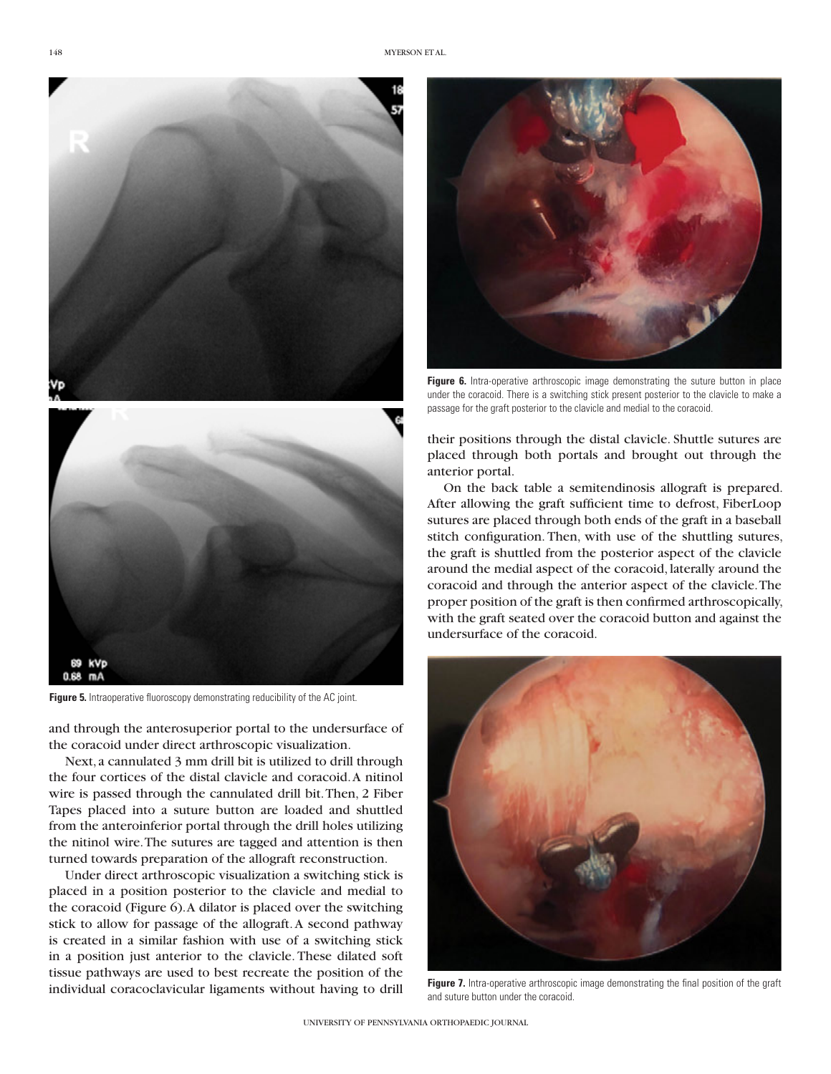



**Figure 6.** Intra-operative arthroscopic image demonstrating the suture button in place under the coracoid. There is a switching stick present posterior to the clavicle to make a passage for the graft posterior to the clavicle and medial to the coracoid.



**Figure 5.** Intraoperative fluoroscopy demonstrating reducibility of the AC joint.

and through the anterosuperior portal to the undersurface of the coracoid under direct arthroscopic visualization.

Next, a cannulated 3 mm drill bit is utilized to drill through the four cortices of the distal clavicle and coracoid. A nitinol wire is passed through the cannulated drill bit. Then, 2 Fiber Tapes placed into a suture button are loaded and shuttled from the anteroinferior portal through the drill holes utilizing the nitinol wire. The sutures are tagged and attention is then turned towards preparation of the allograft reconstruction.

Under direct arthroscopic visualization a switching stick is placed in a position posterior to the clavicle and medial to the coracoid (Figure 6). A dilator is placed over the switching stick to allow for passage of the allograft. A second pathway is created in a similar fashion with use of a switching stick in a position just anterior to the clavicle. These dilated soft tissue pathways are used to best recreate the position of the individual coracoclavicular ligaments without having to drill their positions through the distal clavicle. Shuttle sutures are placed through both portals and brought out through the anterior portal.

On the back table a semitendinosis allograft is prepared. After allowing the graft sufficient time to defrost, FiberLoop sutures are placed through both ends of the graft in a baseball stitch configuration. Then, with use of the shuttling sutures, the graft is shuttled from the posterior aspect of the clavicle around the medial aspect of the coracoid, laterally around the coracoid and through the anterior aspect of the clavicle. The proper position of the graft is then confirmed arthroscopically, with the graft seated over the coracoid button and against the undersurface of the coracoid.



Figure 7. Intra-operative arthroscopic image demonstrating the final position of the graft and suture button under the coracoid.